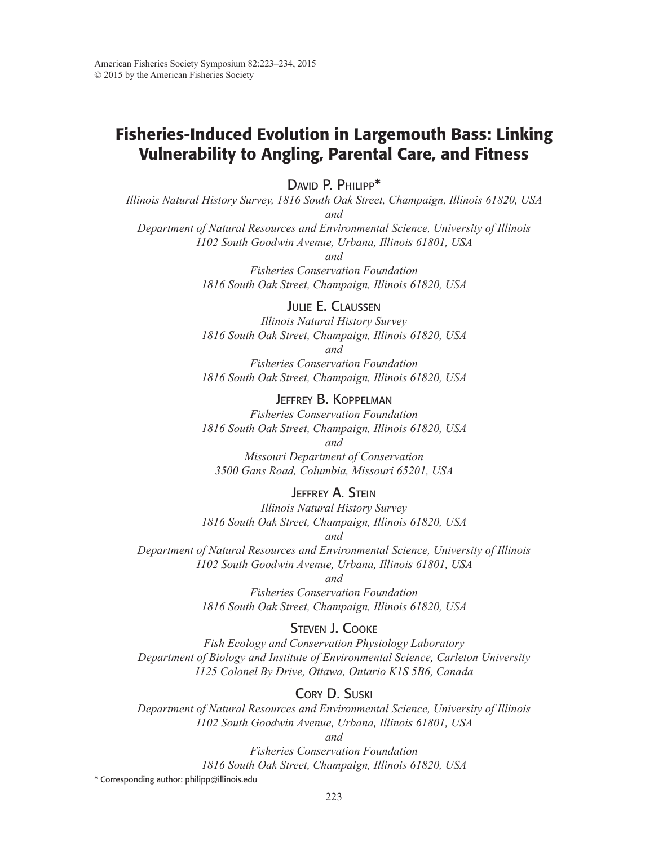# Fisheries-Induced Evolution in Largemouth Bass: Linking Vulnerability to Angling, Parental Care, and Fitness

DAVID P. PHILIPP\*

*Illinois Natural History Survey, 1816 South Oak Street, Champaign, Illinois 61820, USA and*

*Department of Natural Resources and Environmental Science, University of Illinois 1102 South Goodwin Avenue, Urbana, Illinois 61801, USA*

*and*

*Fisheries Conservation Foundation 1816 South Oak Street, Champaign, Illinois 61820, USA*

JULIE E. CLAUSSEN

*Illinois Natural History Survey 1816 South Oak Street, Champaign, Illinois 61820, USA and*

*Fisheries Conservation Foundation 1816 South Oak Street, Champaign, Illinois 61820, USA*

JEFFREY B. KOPPELMAN *Fisheries Conservation Foundation 1816 South Oak Street, Champaign, Illinois 61820, USA*

*and*

*Missouri Department of Conservation 3500 Gans Road, Columbia, Missouri 65201, USA*

### **JEFFREY A. STEIN**

*Illinois Natural History Survey 1816 South Oak Street, Champaign, Illinois 61820, USA*

*and*

*Department of Natural Resources and Environmental Science, University of Illinois 1102 South Goodwin Avenue, Urbana, Illinois 61801, USA*

#### *and*

*Fisheries Conservation Foundation 1816 South Oak Street, Champaign, Illinois 61820, USA*

### STEVEN J. COOKE

*Fish Ecology and Conservation Physiology Laboratory Department of Biology and Institute of Environmental Science, Carleton University 1125 Colonel By Drive, Ottawa, Ontario K1S 5B6, Canada*

## CORY D. SUSKI

*Department of Natural Resources and Environmental Science, University of Illinois 1102 South Goodwin Avenue, Urbana, Illinois 61801, USA*

*and*

*Fisheries Conservation Foundation 1816 South Oak Street, Champaign, Illinois 61820, USA*

\* Corresponding author: philipp@illinois.edu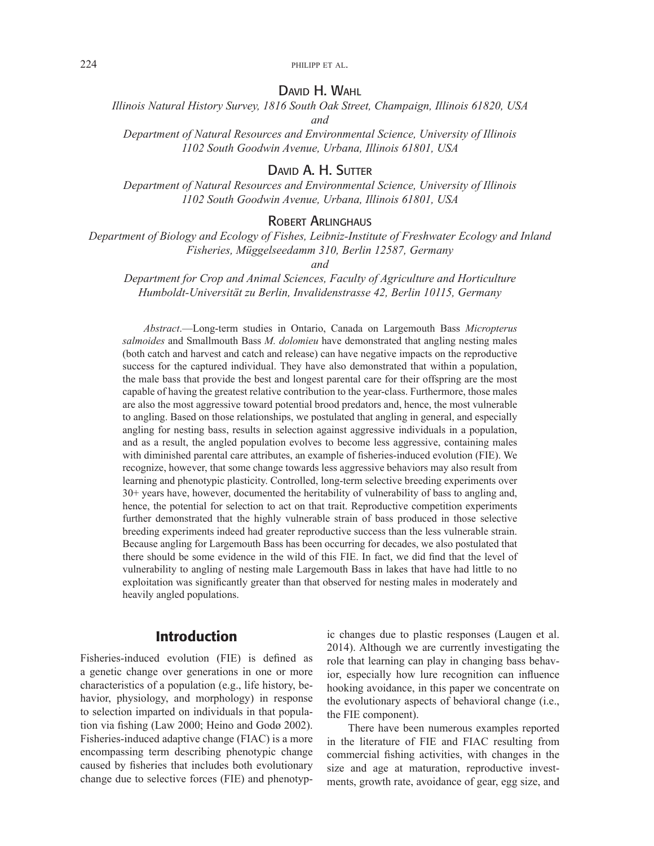224 **philipp et al.** 

#### DAVID H. WAHL

*Illinois Natural History Survey, 1816 South Oak Street, Champaign, Illinois 61820, USA and*

*Department of Natural Resources and Environmental Science, University of Illinois 1102 South Goodwin Avenue, Urbana, Illinois 61801, USA*

### DAVID A. H. SUTTER

*Department of Natural Resources and Environmental Science, University of Illinois 1102 South Goodwin Avenue, Urbana, Illinois 61801, USA*

#### ROBERT ARLINGHAUS

*Department of Biology and Ecology of Fishes, Leibniz-Institute of Freshwater Ecology and Inland Fisheries, Müggelseedamm 310, Berlin 12587, Germany*

*and*

*Department for Crop and Animal Sciences, Faculty of Agriculture and Horticulture Humboldt-Universität zu Berlin, Invalidenstrasse 42, Berlin 10115, Germany*

*Abstract*.—Long-term studies in Ontario, Canada on Largemouth Bass *Micropterus salmoides* and Smallmouth Bass *M. dolomieu* have demonstrated that angling nesting males (both catch and harvest and catch and release) can have negative impacts on the reproductive success for the captured individual. They have also demonstrated that within a population, the male bass that provide the best and longest parental care for their offspring are the most capable of having the greatest relative contribution to the year-class. Furthermore, those males are also the most aggressive toward potential brood predators and, hence, the most vulnerable to angling. Based on those relationships, we postulated that angling in general, and especially angling for nesting bass, results in selection against aggressive individuals in a population, and as a result, the angled population evolves to become less aggressive, containing males with diminished parental care attributes, an example of fsheries-induced evolution (FIE). We recognize, however, that some change towards less aggressive behaviors may also result from learning and phenotypic plasticity. Controlled, long-term selective breeding experiments over 30+ years have, however, documented the heritability of vulnerability of bass to angling and, hence, the potential for selection to act on that trait. Reproductive competition experiments further demonstrated that the highly vulnerable strain of bass produced in those selective breeding experiments indeed had greater reproductive success than the less vulnerable strain. Because angling for Largemouth Bass has been occurring for decades, we also postulated that there should be some evidence in the wild of this FIE. In fact, we did fnd that the level of vulnerability to angling of nesting male Largemouth Bass in lakes that have had little to no exploitation was signifcantly greater than that observed for nesting males in moderately and heavily angled populations.

## Introduction

Fisheries-induced evolution (FIE) is defned as a genetic change over generations in one or more characteristics of a population (e.g., life history, behavior, physiology, and morphology) in response to selection imparted on individuals in that population via fshing (Law 2000; Heino and Godø 2002). Fisheries-induced adaptive change (FIAC) is a more encompassing term describing phenotypic change caused by fsheries that includes both evolutionary change due to selective forces (FIE) and phenotypic changes due to plastic responses (Laugen et al. 2014). Although we are currently investigating the role that learning can play in changing bass behavior, especially how lure recognition can infuence hooking avoidance, in this paper we concentrate on the evolutionary aspects of behavioral change (i.e., the FIE component).

There have been numerous examples reported in the literature of FIE and FIAC resulting from commercial fshing activities, with changes in the size and age at maturation, reproductive investments, growth rate, avoidance of gear, egg size, and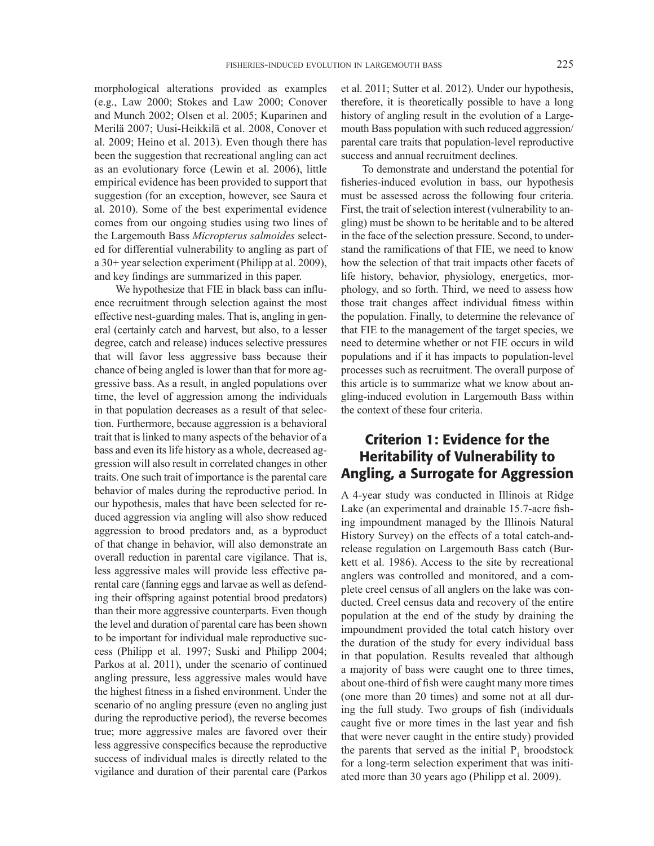morphological alterations provided as examples (e.g., Law 2000; Stokes and Law 2000; Conover and Munch 2002; Olsen et al. 2005; Kuparinen and Merilä 2007; Uusi-Heikkilä et al. 2008, Conover et al. 2009; Heino et al. 2013). Even though there has been the suggestion that recreational angling can act as an evolutionary force (Lewin et al. 2006), little empirical evidence has been provided to support that suggestion (for an exception, however, see Saura et al. 2010). Some of the best experimental evidence comes from our ongoing studies using two lines of the Largemouth Bass *Micropterus salmoides* selected for differential vulnerability to angling as part of a 30+ year selection experiment (Philipp at al. 2009), and key fndings are summarized in this paper.

We hypothesize that FIE in black bass can infuence recruitment through selection against the most effective nest-guarding males. That is, angling in general (certainly catch and harvest, but also, to a lesser degree, catch and release) induces selective pressures that will favor less aggressive bass because their chance of being angled is lower than that for more aggressive bass. As a result, in angled populations over time, the level of aggression among the individuals in that population decreases as a result of that selection. Furthermore, because aggression is a behavioral trait that is linked to many aspects of the behavior of a bass and even its life history as a whole, decreased aggression will also result in correlated changes in other traits. One such trait of importance is the parental care behavior of males during the reproductive period. In our hypothesis, males that have been selected for reduced aggression via angling will also show reduced aggression to brood predators and, as a byproduct of that change in behavior, will also demonstrate an overall reduction in parental care vigilance. That is, less aggressive males will provide less effective parental care (fanning eggs and larvae as well as defending their offspring against potential brood predators) than their more aggressive counterparts. Even though the level and duration of parental care has been shown to be important for individual male reproductive success (Philipp et al. 1997; Suski and Philipp 2004; Parkos at al. 2011), under the scenario of continued angling pressure, less aggressive males would have the highest ftness in a fshed environment. Under the scenario of no angling pressure (even no angling just during the reproductive period), the reverse becomes true; more aggressive males are favored over their less aggressive conspecifcs because the reproductive success of individual males is directly related to the vigilance and duration of their parental care (Parkos

et al. 2011; Sutter et al. 2012). Under our hypothesis, therefore, it is theoretically possible to have a long history of angling result in the evolution of a Largemouth Bass population with such reduced aggression/ parental care traits that population-level reproductive success and annual recruitment declines.

To demonstrate and understand the potential for fsheries-induced evolution in bass, our hypothesis must be assessed across the following four criteria. First, the trait of selection interest (vulnerability to angling) must be shown to be heritable and to be altered in the face of the selection pressure. Second, to understand the ramifcations of that FIE, we need to know how the selection of that trait impacts other facets of life history, behavior, physiology, energetics, morphology, and so forth. Third, we need to assess how those trait changes affect individual ftness within the population. Finally, to determine the relevance of that FIE to the management of the target species, we need to determine whether or not FIE occurs in wild populations and if it has impacts to population-level processes such as recruitment. The overall purpose of this article is to summarize what we know about angling-induced evolution in Largemouth Bass within the context of these four criteria.

# Criterion 1: Evidence for the Heritability of Vulnerability to Angling, a Surrogate for Aggression

A 4-year study was conducted in Illinois at Ridge Lake (an experimental and drainable 15.7-acre fshing impoundment managed by the Illinois Natural History Survey) on the effects of a total catch-andrelease regulation on Largemouth Bass catch (Burkett et al. 1986). Access to the site by recreational anglers was controlled and monitored, and a complete creel census of all anglers on the lake was conducted. Creel census data and recovery of the entire population at the end of the study by draining the impoundment provided the total catch history over the duration of the study for every individual bass in that population. Results revealed that although a majority of bass were caught one to three times, about one-third of fsh were caught many more times (one more than 20 times) and some not at all during the full study. Two groups of fsh (individuals caught five or more times in the last year and fish that were never caught in the entire study) provided the parents that served as the initial  $P_1$  broodstock for a long-term selection experiment that was initiated more than 30 years ago (Philipp et al. 2009).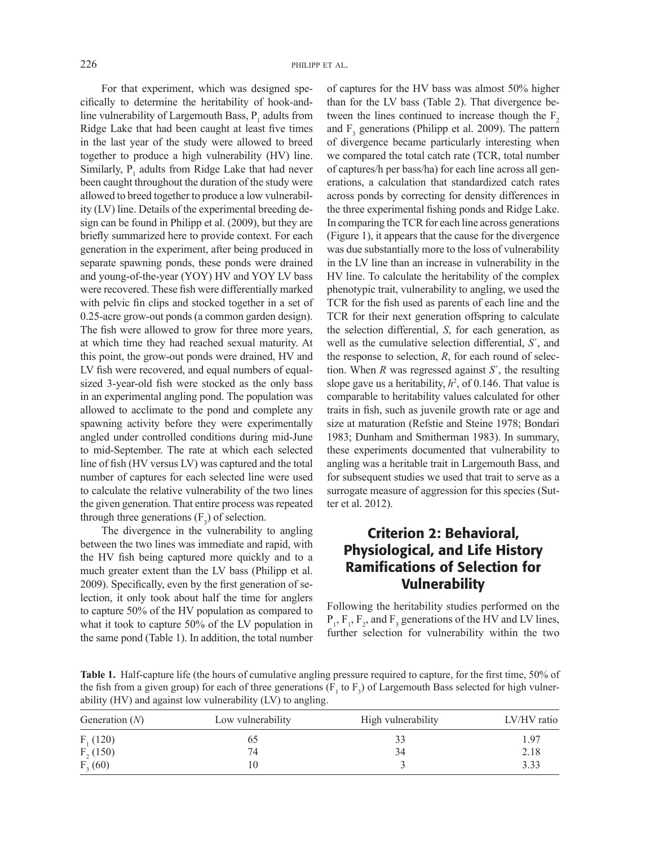For that experiment, which was designed specifcally to determine the heritability of hook-andline vulnerability of Largemouth Bass,  $P_1$  adults from Ridge Lake that had been caught at least fve times in the last year of the study were allowed to breed together to produce a high vulnerability (HV) line. Similarly,  $P_1$  adults from Ridge Lake that had never been caught throughout the duration of the study were allowed to breed together to produce a low vulnerability (LV) line. Details of the experimental breeding design can be found in Philipp et al. (2009), but they are briefy summarized here to provide context. For each generation in the experiment, after being produced in separate spawning ponds, these ponds were drained and young-of-the-year (YOY) HV and YOY LV bass were recovered. These fsh were differentially marked with pelvic fn clips and stocked together in a set of 0.25-acre grow-out ponds (a common garden design). The fish were allowed to grow for three more years, at which time they had reached sexual maturity. At this point, the grow-out ponds were drained, HV and LV fish were recovered, and equal numbers of equalsized 3-year-old fish were stocked as the only bass in an experimental angling pond. The population was allowed to acclimate to the pond and complete any spawning activity before they were experimentally angled under controlled conditions during mid-June to mid-September. The rate at which each selected line of fsh (HV versus LV) was captured and the total number of captures for each selected line were used to calculate the relative vulnerability of the two lines the given generation. That entire process was repeated through three generations  $(F_3)$  of selection.

The divergence in the vulnerability to angling between the two lines was immediate and rapid, with the HV fsh being captured more quickly and to a much greater extent than the LV bass (Philipp et al. 2009). Specifcally, even by the frst generation of selection, it only took about half the time for anglers to capture 50% of the HV population as compared to what it took to capture 50% of the LV population in the same pond (Table 1). In addition, the total number of captures for the HV bass was almost 50% higher than for the LV bass (Table 2). That divergence between the lines continued to increase though the  $F<sub>2</sub>$ and  $F_3$  generations (Philipp et al. 2009). The pattern of divergence became particularly interesting when we compared the total catch rate (TCR, total number of captures/h per bass/ha) for each line across all generations, a calculation that standardized catch rates across ponds by correcting for density differences in the three experimental fshing ponds and Ridge Lake. In comparing the TCR for each line across generations (Figure 1), it appears that the cause for the divergence was due substantially more to the loss of vulnerability in the LV line than an increase in vulnerability in the HV line. To calculate the heritability of the complex phenotypic trait, vulnerability to angling, we used the TCR for the fsh used as parents of each line and the TCR for their next generation offspring to calculate the selection differential, *S*, for each generation, as well as the cumulative selection differential, *S*´, and the response to selection, *R*, for each round of selection. When *R* was regressed against *S*´, the resulting slope gave us a heritability,  $h^2$ , of 0.146. That value is comparable to heritability values calculated for other traits in fsh, such as juvenile growth rate or age and size at maturation (Refstie and Steine 1978; Bondari 1983; Dunham and Smitherman 1983). In summary, these experiments documented that vulnerability to angling was a heritable trait in Largemouth Bass, and for subsequent studies we used that trait to serve as a surrogate measure of aggression for this species (Sutter et al. 2012).

# Criterion 2: Behavioral, Physiological, and Life History Ramifications of Selection for **Vulnerability**

Following the heritability studies performed on the  $P_1$ ,  $F_2$ , and  $F_3$  generations of the HV and LV lines, further selection for vulnerability within the two

**Table 1.** Half-capture life (the hours of cumulative angling pressure required to capture, for the frst time, 50% of the fish from a given group) for each of three generations ( $F_1$  to  $F_3$ ) of Largemouth Bass selected for high vulnerability (HV) and against low vulnerability (LV) to angling.

| Generation $(N)$ | Low vulnerability | High vulnerability | LV/HV ratio |
|------------------|-------------------|--------------------|-------------|
| $F_1(120)$       |                   | 33                 | 1.97        |
| $F2$ (150)       | 74                | 34                 | 2.18        |
| $F_3(60)$        |                   |                    | 3.33        |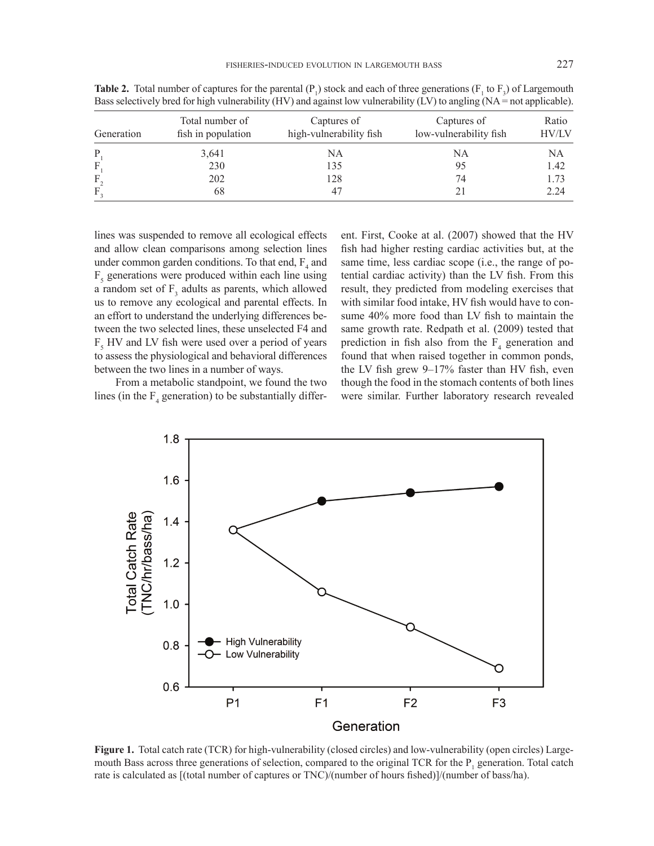| Generation | Total number of<br>fish in population | Captures of<br>high-vulnerability fish | Captures of<br>low-vulnerability fish | Ratio<br><b>HV/LV</b> |
|------------|---------------------------------------|----------------------------------------|---------------------------------------|-----------------------|
| P          | 3,641                                 | NA                                     | NA                                    | NA                    |
|            | 230                                   | 135                                    | 95                                    | 1.42                  |
| F          | 202                                   | 128                                    | 74                                    | 1.73                  |
| F          | 68                                    |                                        |                                       | 2.24                  |

**Table 2.** Total number of captures for the parental  $(P_1)$  stock and each of three generations  $(F_1$  to  $F_3)$  of Largemouth Bass selectively bred for high vulnerability (HV) and against low vulnerability (LV) to angling (NA = not applicable).

lines was suspended to remove all ecological effects and allow clean comparisons among selection lines under common garden conditions. To that end,  $F_4$  and  $F<sub>5</sub>$  generations were produced within each line using a random set of  $F_3$  adults as parents, which allowed us to remove any ecological and parental effects. In an effort to understand the underlying differences between the two selected lines, these unselected F4 and  $F<sub>5</sub>$  HV and LV fish were used over a period of years to assess the physiological and behavioral differences between the two lines in a number of ways.

From a metabolic standpoint, we found the two lines (in the  $F_4$  generation) to be substantially different. First, Cooke at al. (2007) showed that the HV fish had higher resting cardiac activities but, at the same time, less cardiac scope (i.e., the range of potential cardiac activity) than the LV fsh. From this result, they predicted from modeling exercises that with similar food intake, HV fish would have to consume 40% more food than LV fish to maintain the same growth rate. Redpath et al. (2009) tested that prediction in fish also from the  $F_4$  generation and found that when raised together in common ponds, the LV fish grew 9-17% faster than HV fish, even though the food in the stomach contents of both lines were similar. Further laboratory research revealed



**Figure 1.** Total catch rate (TCR) for high-vulnerability (closed circles) and low-vulnerability (open circles) Largemouth Bass across three generations of selection, compared to the original TCR for the  $P_1$  generation. Total catch rate is calculated as [(total number of captures or TNC)/(number of hours fshed)]/(number of bass/ha).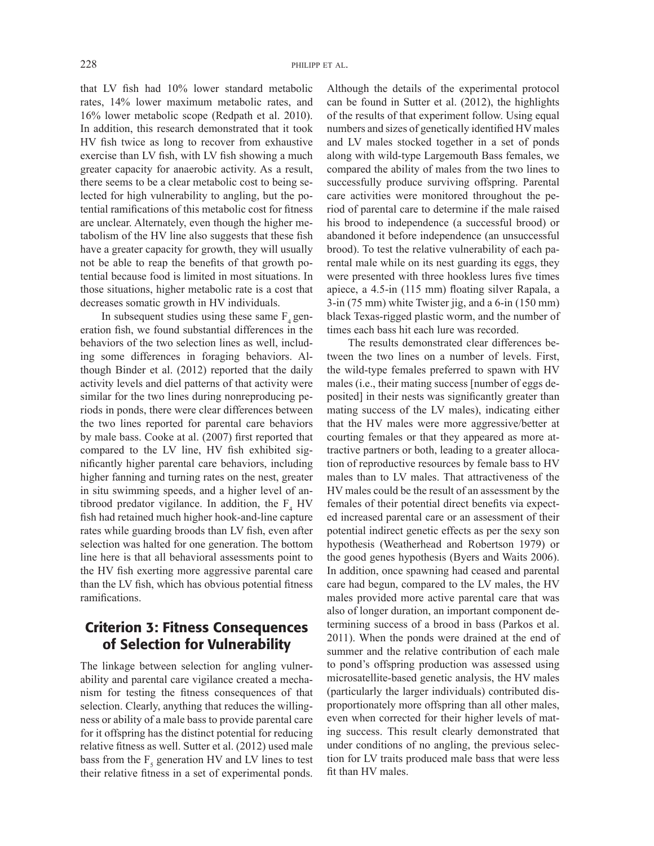that LV fsh had 10% lower standard metabolic rates, 14% lower maximum metabolic rates, and 16% lower metabolic scope (Redpath et al. 2010). In addition, this research demonstrated that it took HV fsh twice as long to recover from exhaustive exercise than LV fish, with LV fish showing a much greater capacity for anaerobic activity. As a result, there seems to be a clear metabolic cost to being selected for high vulnerability to angling, but the potential ramifcations of this metabolic cost for ftness are unclear. Alternately, even though the higher metabolism of the HV line also suggests that these fsh have a greater capacity for growth, they will usually not be able to reap the benefts of that growth potential because food is limited in most situations. In those situations, higher metabolic rate is a cost that decreases somatic growth in HV individuals.

In subsequent studies using these same  $F_4$  generation fsh, we found substantial differences in the behaviors of the two selection lines as well, including some differences in foraging behaviors. Although Binder et al. (2012) reported that the daily activity levels and diel patterns of that activity were similar for the two lines during nonreproducing periods in ponds, there were clear differences between the two lines reported for parental care behaviors by male bass. Cooke at al. (2007) frst reported that compared to the LV line, HV fish exhibited signifcantly higher parental care behaviors, including higher fanning and turning rates on the nest, greater in situ swimming speeds, and a higher level of antibrood predator vigilance. In addition, the  $F_4$  HV fsh had retained much higher hook-and-line capture rates while guarding broods than LV fish, even after selection was halted for one generation. The bottom line here is that all behavioral assessments point to the HV fsh exerting more aggressive parental care than the LV fish, which has obvious potential fitness ramifcations.

## Criterion 3: Fitness Consequences of Selection for Vulnerability

The linkage between selection for angling vulnerability and parental care vigilance created a mechanism for testing the ftness consequences of that selection. Clearly, anything that reduces the willingness or ability of a male bass to provide parental care for it offspring has the distinct potential for reducing relative ftness as well. Sutter et al. (2012) used male bass from the  $F_s$  generation HV and LV lines to test their relative ftness in a set of experimental ponds.

Although the details of the experimental protocol can be found in Sutter et al. (2012), the highlights of the results of that experiment follow. Using equal numbers and sizes of genetically identifed HV males and LV males stocked together in a set of ponds along with wild-type Largemouth Bass females, we compared the ability of males from the two lines to successfully produce surviving offspring. Parental care activities were monitored throughout the period of parental care to determine if the male raised his brood to independence (a successful brood) or abandoned it before independence (an unsuccessful brood). To test the relative vulnerability of each parental male while on its nest guarding its eggs, they were presented with three hookless lures fve times apiece, a 4.5-in (115 mm) foating silver Rapala, a 3-in (75 mm) white Twister jig, and a 6-in (150 mm) black Texas-rigged plastic worm, and the number of times each bass hit each lure was recorded.

The results demonstrated clear differences between the two lines on a number of levels. First, the wild-type females preferred to spawn with HV males (i.e., their mating success [number of eggs deposited] in their nests was signifcantly greater than mating success of the LV males), indicating either that the HV males were more aggressive/better at courting females or that they appeared as more attractive partners or both, leading to a greater allocation of reproductive resources by female bass to HV males than to LV males. That attractiveness of the HV males could be the result of an assessment by the females of their potential direct benefts via expected increased parental care or an assessment of their potential indirect genetic effects as per the sexy son hypothesis (Weatherhead and Robertson 1979) or the good genes hypothesis (Byers and Waits 2006). In addition, once spawning had ceased and parental care had begun, compared to the LV males, the HV males provided more active parental care that was also of longer duration, an important component determining success of a brood in bass (Parkos et al. 2011). When the ponds were drained at the end of summer and the relative contribution of each male to pond's offspring production was assessed using microsatellite-based genetic analysis, the HV males (particularly the larger individuals) contributed disproportionately more offspring than all other males, even when corrected for their higher levels of mating success. This result clearly demonstrated that under conditions of no angling, the previous selection for LV traits produced male bass that were less ft than HV males.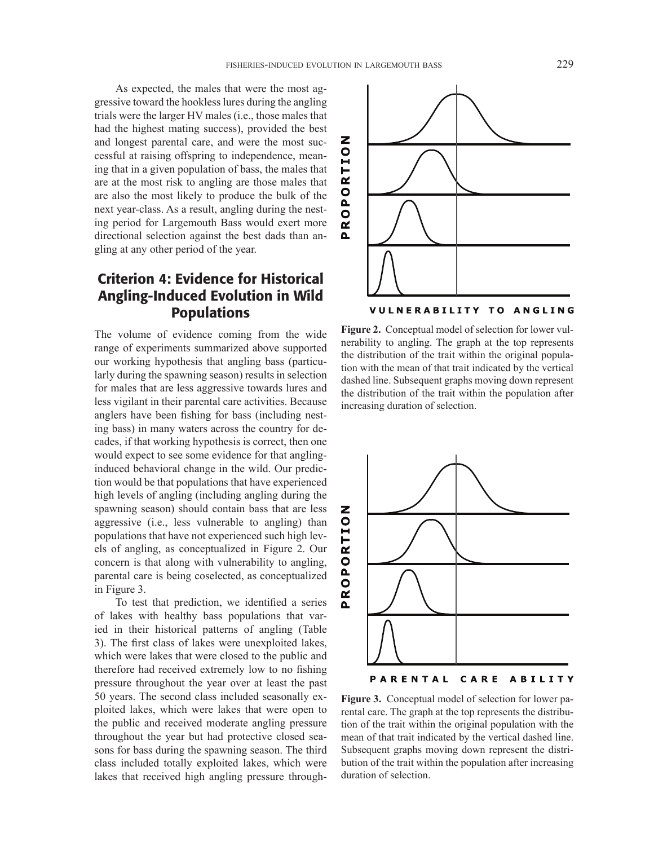As expected, the males that were the most aggressive toward the hookless lures during the angling trials were the larger HV males (i.e., those males that had the highest mating success), provided the best and longest parental care, and were the most successful at raising offspring to independence, meaning that in a given population of bass, the males that are at the most risk to angling are those males that are also the most likely to produce the bulk of the next year-class. As a result, angling during the nesting period for Largemouth Bass would exert more directional selection against the best dads than angling at any other period of the year.

# Criterion 4: Evidence for Historical Angling-Induced Evolution in Wild Populations

The volume of evidence coming from the wide range of experiments summarized above supported our working hypothesis that angling bass (particularly during the spawning season) results in selection for males that are less aggressive towards lures and less vigilant in their parental care activities. Because anglers have been fshing for bass (including nesting bass) in many waters across the country for decades, if that working hypothesis is correct, then one would expect to see some evidence for that anglinginduced behavioral change in the wild. Our prediction would be that populations that have experienced high levels of angling (including angling during the spawning season) should contain bass that are less aggressive (i.e., less vulnerable to angling) than populations that have not experienced such high levels of angling, as conceptualized in Figure 2. Our concern is that along with vulnerability to angling, parental care is being coselected, as conceptualized in Figure 3.

To test that prediction, we identifed a series of lakes with healthy bass populations that varied in their historical patterns of angling (Table 3). The frst class of lakes were unexploited lakes, which were lakes that were closed to the public and therefore had received extremely low to no fshing pressure throughout the year over at least the past 50 years. The second class included seasonally exploited lakes, which were lakes that were open to the public and received moderate angling pressure throughout the year but had protective closed seasons for bass during the spawning season. The third class included totally exploited lakes, which were lakes that received high angling pressure through-



**Figure 2.** Conceptual model of selection for lower vulnerability to angling. The graph at the top represents the distribution of the trait within the original population with the mean of that trait indicated by the vertical dashed line. Subsequent graphs moving down represent the distribution of the trait within the population after increasing duration of selection.



**Figure 3.** Conceptual model of selection for lower parental care. The graph at the top represents the distribution of the trait within the original population with the mean of that trait indicated by the vertical dashed line. Subsequent graphs moving down represent the distribution of the trait within the population after increasing

duration of selection.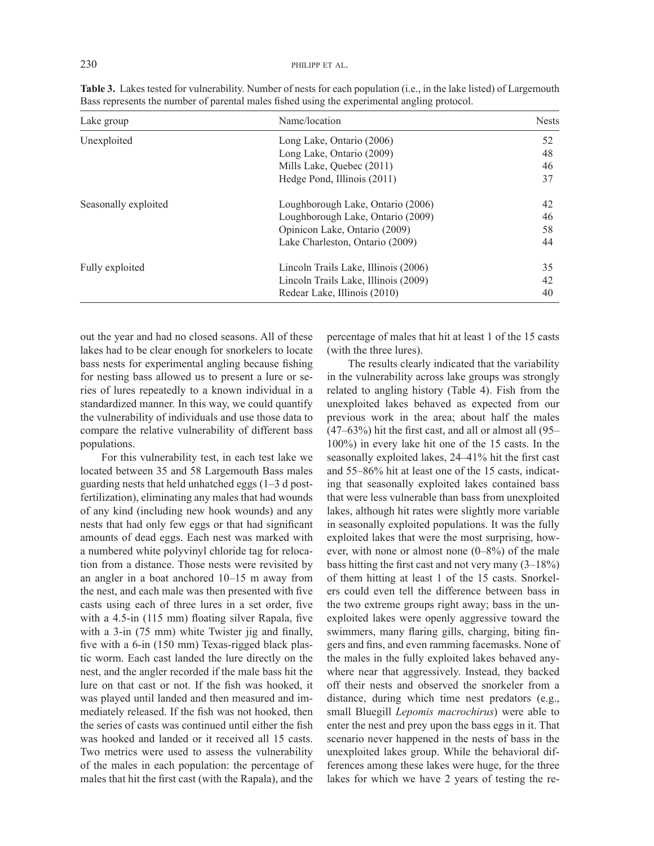| Lake group           | Name/location                        | <b>Nests</b> |
|----------------------|--------------------------------------|--------------|
| Unexploited          | Long Lake, Ontario (2006)            | 52           |
|                      | Long Lake, Ontario (2009)            | 48           |
|                      | Mills Lake, Quebec (2011)            | 46           |
|                      | Hedge Pond, Illinois (2011)          | 37           |
| Seasonally exploited | Loughborough Lake, Ontario (2006)    | 42           |
|                      | Loughborough Lake, Ontario (2009)    | 46           |
|                      | Opinicon Lake, Ontario (2009)        | 58           |
|                      | Lake Charleston, Ontario (2009)      | 44           |
| Fully exploited      | Lincoln Trails Lake, Illinois (2006) | 35           |
|                      | Lincoln Trails Lake, Illinois (2009) | 42           |
|                      | Redear Lake, Illinois (2010)         | 40           |

**Table 3.** Lakes tested for vulnerability. Number of nests for each population (i.e., in the lake listed) of Largemouth Bass represents the number of parental males fshed using the experimental angling protocol.

out the year and had no closed seasons. All of these lakes had to be clear enough for snorkelers to locate bass nests for experimental angling because fshing for nesting bass allowed us to present a lure or series of lures repeatedly to a known individual in a standardized manner. In this way, we could quantify the vulnerability of individuals and use those data to compare the relative vulnerability of different bass populations.

For this vulnerability test, in each test lake we located between 35 and 58 Largemouth Bass males guarding nests that held unhatched eggs (1–3 d postfertilization), eliminating any males that had wounds of any kind (including new hook wounds) and any nests that had only few eggs or that had signifcant amounts of dead eggs. Each nest was marked with a numbered white polyvinyl chloride tag for relocation from a distance. Those nests were revisited by an angler in a boat anchored 10–15 m away from the nest, and each male was then presented with fve casts using each of three lures in a set order, fve with a 4.5-in (115 mm) floating silver Rapala, five with a 3-in (75 mm) white Twister jig and finally, fve with a 6-in (150 mm) Texas-rigged black plastic worm. Each cast landed the lure directly on the nest, and the angler recorded if the male bass hit the lure on that cast or not. If the fsh was hooked, it was played until landed and then measured and immediately released. If the fsh was not hooked, then the series of casts was continued until either the fsh was hooked and landed or it received all 15 casts. Two metrics were used to assess the vulnerability of the males in each population: the percentage of males that hit the frst cast (with the Rapala), and the

percentage of males that hit at least 1 of the 15 casts (with the three lures).

The results clearly indicated that the variability in the vulnerability across lake groups was strongly related to angling history (Table 4). Fish from the unexploited lakes behaved as expected from our previous work in the area; about half the males (47–63%) hit the frst cast, and all or almost all (95– 100%) in every lake hit one of the 15 casts. In the seasonally exploited lakes, 24–41% hit the frst cast and 55–86% hit at least one of the 15 casts, indicating that seasonally exploited lakes contained bass that were less vulnerable than bass from unexploited lakes, although hit rates were slightly more variable in seasonally exploited populations. It was the fully exploited lakes that were the most surprising, however, with none or almost none (0–8%) of the male bass hitting the frst cast and not very many (3–18%) of them hitting at least 1 of the 15 casts. Snorkelers could even tell the difference between bass in the two extreme groups right away; bass in the unexploited lakes were openly aggressive toward the swimmers, many faring gills, charging, biting fngers and fns, and even ramming facemasks. None of the males in the fully exploited lakes behaved anywhere near that aggressively. Instead, they backed off their nests and observed the snorkeler from a distance, during which time nest predators (e.g., small Bluegill *Lepomis macrochirus*) were able to enter the nest and prey upon the bass eggs in it. That scenario never happened in the nests of bass in the unexploited lakes group. While the behavioral differences among these lakes were huge, for the three lakes for which we have 2 years of testing the re-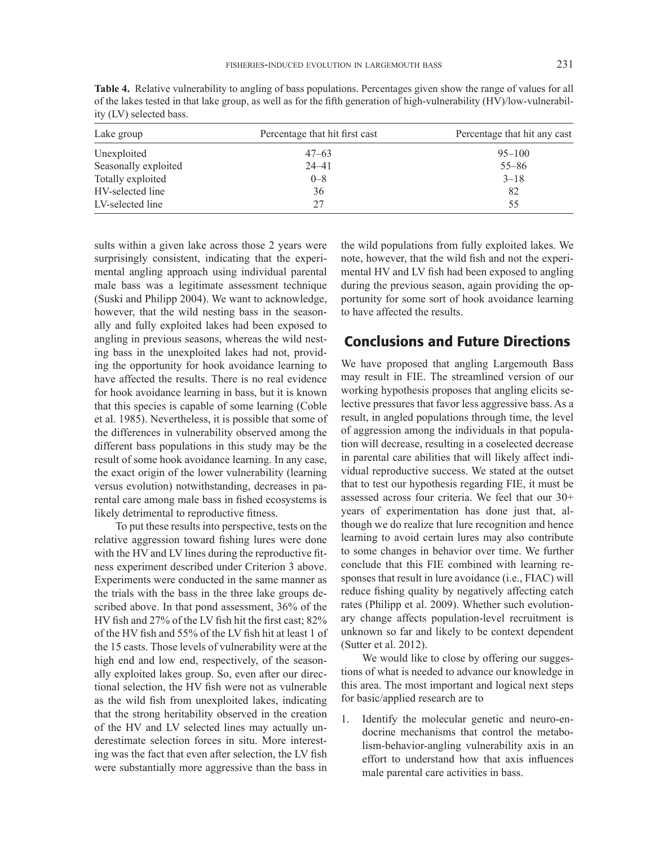| Lake group           | Percentage that hit first cast | Percentage that hit any cast |
|----------------------|--------------------------------|------------------------------|
| Unexploited          | $47 - 63$                      | $95 - 100$                   |
| Seasonally exploited | $24 - 41$                      | $55 - 86$                    |
| Totally exploited    | $0 - 8$                        | $3 - 18$                     |
| HV-selected line     | 36                             | 82                           |
| LV-selected line     | 27                             | 55                           |

**Table 4.** Relative vulnerability to angling of bass populations. Percentages given show the range of values for all of the lakes tested in that lake group, as well as for the ffth generation of high-vulnerability (HV)/low-vulnerability (LV) selected bass.

sults within a given lake across those 2 years were surprisingly consistent, indicating that the experimental angling approach using individual parental male bass was a legitimate assessment technique (Suski and Philipp 2004). We want to acknowledge, however, that the wild nesting bass in the seasonally and fully exploited lakes had been exposed to angling in previous seasons, whereas the wild nesting bass in the unexploited lakes had not, providing the opportunity for hook avoidance learning to have affected the results. There is no real evidence for hook avoidance learning in bass, but it is known that this species is capable of some learning (Coble et al. 1985). Nevertheless, it is possible that some of the differences in vulnerability observed among the different bass populations in this study may be the result of some hook avoidance learning. In any case, the exact origin of the lower vulnerability (learning versus evolution) notwithstanding, decreases in parental care among male bass in fshed ecosystems is likely detrimental to reproductive ftness.

To put these results into perspective, tests on the relative aggression toward fshing lures were done with the HV and LV lines during the reproductive ftness experiment described under Criterion 3 above. Experiments were conducted in the same manner as the trials with the bass in the three lake groups described above. In that pond assessment, 36% of the HV fsh and 27% of the LV fsh hit the frst cast; 82% of the HV fsh and 55% of the LV fsh hit at least 1 of the 15 casts. Those levels of vulnerability were at the high end and low end, respectively, of the seasonally exploited lakes group. So, even after our directional selection, the HV fish were not as vulnerable as the wild fsh from unexploited lakes, indicating that the strong heritability observed in the creation of the HV and LV selected lines may actually underestimate selection forces in situ. More interesting was the fact that even after selection, the LV fish were substantially more aggressive than the bass in

the wild populations from fully exploited lakes. We note, however, that the wild fsh and not the experimental HV and LV fsh had been exposed to angling during the previous season, again providing the opportunity for some sort of hook avoidance learning to have affected the results.

## Conclusions and Future Directions

We have proposed that angling Largemouth Bass may result in FIE. The streamlined version of our working hypothesis proposes that angling elicits selective pressures that favor less aggressive bass. As a result, in angled populations through time, the level of aggression among the individuals in that population will decrease, resulting in a coselected decrease in parental care abilities that will likely affect individual reproductive success. We stated at the outset that to test our hypothesis regarding FIE, it must be assessed across four criteria. We feel that our 30+ years of experimentation has done just that, although we do realize that lure recognition and hence learning to avoid certain lures may also contribute to some changes in behavior over time. We further conclude that this FIE combined with learning responses that result in lure avoidance (i.e., FIAC) will reduce fshing quality by negatively affecting catch rates (Philipp et al. 2009). Whether such evolutionary change affects population-level recruitment is unknown so far and likely to be context dependent (Sutter et al. 2012).

We would like to close by offering our suggestions of what is needed to advance our knowledge in this area. The most important and logical next steps for basic/applied research are to

1. Identify the molecular genetic and neuro-endocrine mechanisms that control the metabolism-behavior-angling vulnerability axis in an effort to understand how that axis infuences male parental care activities in bass.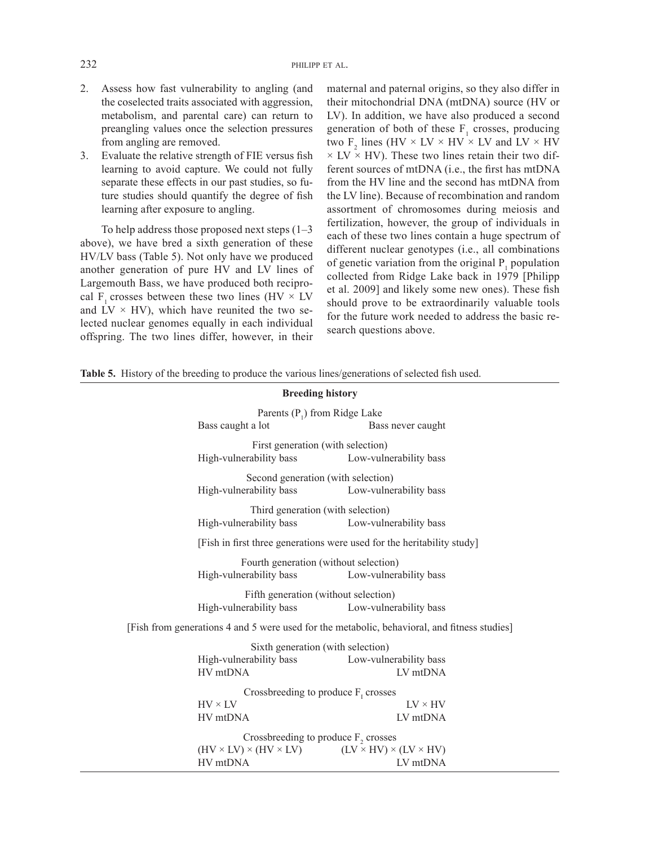- 2. Assess how fast vulnerability to angling (and the coselected traits associated with aggression, metabolism, and parental care) can return to preangling values once the selection pressures from angling are removed.
- 3. Evaluate the relative strength of FIE versus fsh learning to avoid capture. We could not fully separate these effects in our past studies, so future studies should quantify the degree of fish learning after exposure to angling.

To help address those proposed next steps (1–3 above), we have bred a sixth generation of these HV/LV bass (Table 5). Not only have we produced another generation of pure HV and LV lines of Largemouth Bass, we have produced both reciprocal F<sub>1</sub> crosses between these two lines (HV  $\times$  LV and  $\overline{LV} \times \overline{HV}$ , which have reunited the two selected nuclear genomes equally in each individual offspring. The two lines differ, however, in their maternal and paternal origins, so they also differ in their mitochondrial DNA (mtDNA) source (HV or LV). In addition, we have also produced a second generation of both of these  $F_1$  crosses, producing two  $F_2$  lines (HV  $\times$  LV  $\times$  HV  $\times$  LV and LV  $\times$  HV  $\times$  LV  $\times$  HV). These two lines retain their two different sources of mtDNA (i.e., the frst has mtDNA from the HV line and the second has mtDNA from the LV line). Because of recombination and random assortment of chromosomes during meiosis and fertilization, however, the group of individuals in each of these two lines contain a huge spectrum of different nuclear genotypes (i.e., all combinations of genetic variation from the original  $P_1$  population collected from Ridge Lake back in 1979 [Philipp et al. 2009] and likely some new ones). These fsh should prove to be extraordinarily valuable tools for the future work needed to address the basic research questions above.

|  | Table 5. History of the breeding to produce the various lines/generations of selected fish used. |  |  |  |  |
|--|--------------------------------------------------------------------------------------------------|--|--|--|--|
|  |                                                                                                  |  |  |  |  |

| <b>Breeding history</b>                                                                      |                                                                                            |                                    |  |  |  |  |
|----------------------------------------------------------------------------------------------|--------------------------------------------------------------------------------------------|------------------------------------|--|--|--|--|
|                                                                                              | Parents $(P_1)$ from Ridge Lake<br>Bass caught a lot                                       | Bass never caught                  |  |  |  |  |
|                                                                                              | First generation (with selection)<br>High-vulnerability bass<br>Low-vulnerability bass     |                                    |  |  |  |  |
|                                                                                              | Second generation (with selection)<br>High-vulnerability bass<br>Low-vulnerability bass    |                                    |  |  |  |  |
| Third generation (with selection)<br>High-vulnerability bass Low-vulnerability bass          |                                                                                            |                                    |  |  |  |  |
|                                                                                              | [Fish in first three generations were used for the heritability study]                     |                                    |  |  |  |  |
|                                                                                              | Fourth generation (without selection)<br>High-vulnerability bass<br>Low-vulnerability bass |                                    |  |  |  |  |
| Fifth generation (without selection)<br>High-vulnerability bass<br>Low-vulnerability bass    |                                                                                            |                                    |  |  |  |  |
| [Fish from generations 4 and 5 were used for the metabolic, behavioral, and fitness studies] |                                                                                            |                                    |  |  |  |  |
|                                                                                              | Sixth generation (with selection)                                                          |                                    |  |  |  |  |
|                                                                                              | High-vulnerability bass<br>HV mtDNA                                                        | Low-vulnerability bass<br>LV mtDNA |  |  |  |  |
|                                                                                              | Crossbreeding to produce $Fr$ crosses                                                      |                                    |  |  |  |  |
|                                                                                              | $HV \times LV$<br>HV mtDNA                                                                 | $LV \times HV$<br>LV mtDNA         |  |  |  |  |
|                                                                                              | Crossbreeding to produce $F_2$ crosses                                                     |                                    |  |  |  |  |
|                                                                                              | $(HV \times LV) \times (HV \times LV)$ $(LV \times HV) \times (LV \times HV)$<br>HV mtDNA  | LV mtDNA                           |  |  |  |  |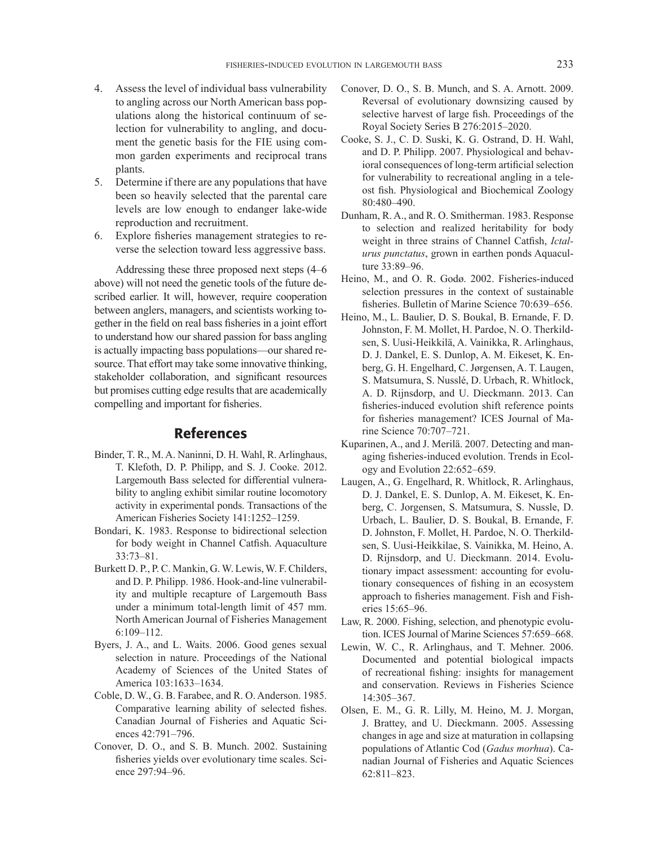- 4. Assess the level of individual bass vulnerability to angling across our North American bass populations along the historical continuum of selection for vulnerability to angling, and document the genetic basis for the FIE using common garden experiments and reciprocal trans plants.
- 5. Determine if there are any populations that have been so heavily selected that the parental care levels are low enough to endanger lake-wide reproduction and recruitment.
- 6. Explore fsheries management strategies to reverse the selection toward less aggressive bass.

Addressing these three proposed next steps (4–6 above) will not need the genetic tools of the future described earlier. It will, however, require cooperation between anglers, managers, and scientists working together in the feld on real bass fsheries in a joint effort to understand how our shared passion for bass angling is actually impacting bass populations—our shared resource. That effort may take some innovative thinking, stakeholder collaboration, and signifcant resources but promises cutting edge results that are academically compelling and important for fsheries.

#### References

- Binder, T. R., M. A. Naninni, D. H. Wahl, R. Arlinghaus, T. Klefoth, D. P. Philipp, and S. J. Cooke. 2012. Largemouth Bass selected for differential vulnerability to angling exhibit similar routine locomotory activity in experimental ponds. Transactions of the American Fisheries Society 141:1252–1259.
- Bondari, K. 1983. Response to bidirectional selection for body weight in Channel Catfsh. Aquaculture 33:73–81.
- Burkett D. P., P. C. Mankin, G. W. Lewis, W. F. Childers, and D. P. Philipp. 1986. Hook-and-line vulnerability and multiple recapture of Largemouth Bass under a minimum total-length limit of 457 mm. North American Journal of Fisheries Management 6:109–112.
- Byers, J. A., and L. Waits. 2006. Good genes sexual selection in nature. Proceedings of the National Academy of Sciences of the United States of America 103:1633–1634.
- Coble, D. W., G. B. Farabee, and R. O. Anderson. 1985. Comparative learning ability of selected fshes. Canadian Journal of Fisheries and Aquatic Sciences 42:791–796.
- Conover, D. O., and S. B. Munch. 2002. Sustaining fsheries yields over evolutionary time scales. Science 297:94–96.
- Conover, D. O., S. B. Munch, and S. A. Arnott. 2009. Reversal of evolutionary downsizing caused by selective harvest of large fsh. Proceedings of the Royal Society Series B 276:2015–2020.
- Cooke, S. J., C. D. Suski, K. G. Ostrand, D. H. Wahl, and D. P. Philipp. 2007. Physiological and behavioral consequences of long-term artifcial selection for vulnerability to recreational angling in a teleost fsh. Physiological and Biochemical Zoology 80:480–490.
- Dunham, R. A., and R. O. Smitherman. 1983. Response to selection and realized heritability for body weight in three strains of Channel Catfsh, *Ictalurus punctatus*, grown in earthen ponds Aquaculture 33:89–96.
- Heino, M., and O. R. Godø. 2002. Fisheries-induced selection pressures in the context of sustainable fsheries. Bulletin of Marine Science 70:639–656.
- Heino, M., L. Baulier, D. S. Boukal, B. Ernande, F. D. Johnston, F. M. Mollet, H. Pardoe, N. O. Therkildsen, S. Uusi-Heikkilä, A. Vainikka, R. Arlinghaus, D. J. Dankel, E. S. Dunlop, A. M. Eikeset, K. Enberg, G. H. Engelhard, C. Jørgensen, A. T. Laugen, S. Matsumura, S. Nusslé, D. Urbach, R. Whitlock, A. D. Rijnsdorp, and U. Dieckmann. 2013. Can fsheries-induced evolution shift reference points for fsheries management? ICES Journal of Marine Science 70:707–721.
- Kuparinen, A., and J. Merilä. 2007. Detecting and managing fsheries-induced evolution. Trends in Ecology and Evolution 22:652–659.
- Laugen, A., G. Engelhard, R. Whitlock, R. Arlinghaus, D. J. Dankel, E. S. Dunlop, A. M. Eikeset, K. Enberg, C. Jorgensen, S. Matsumura, S. Nussle, D. Urbach, L. Baulier, D. S. Boukal, B. Ernande, F. D. Johnston, F. Mollet, H. Pardoe, N. O. Therkildsen, S. Uusi-Heikkilae, S. Vainikka, M. Heino, A. D. Rijnsdorp, and U. Dieckmann. 2014. Evolutionary impact assessment: accounting for evolutionary consequences of fshing in an ecosystem approach to fsheries management. Fish and Fisheries 15:65–96.
- Law, R. 2000. Fishing, selection, and phenotypic evolution. ICES Journal of Marine Sciences 57:659–668.
- Lewin, W. C., R. Arlinghaus, and T. Mehner. 2006. Documented and potential biological impacts of recreational fshing: insights for management and conservation. Reviews in Fisheries Science 14:305–367.
- Olsen, E. M., G. R. Lilly, M. Heino, M. J. Morgan, J. Brattey, and U. Dieckmann. 2005. Assessing changes in age and size at maturation in collapsing populations of Atlantic Cod (*Gadus morhua*). Canadian Journal of Fisheries and Aquatic Sciences 62:811–823.